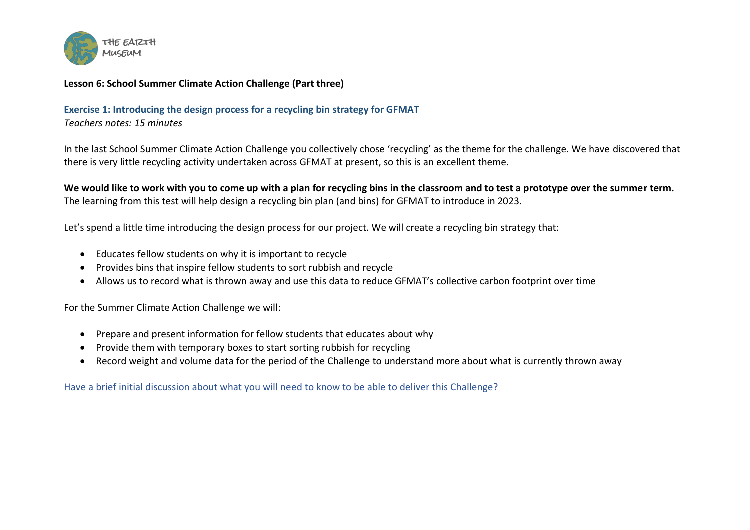

## **Lesson 6: School Summer Climate Action Challenge (Part three)**

**Exercise 1: Introducing the design process for a recycling bin strategy for GFMAT** *Teachers notes: 15 minutes*

In the last School Summer Climate Action Challenge you collectively chose 'recycling' as the theme for the challenge. We have discovered that there is very little recycling activity undertaken across GFMAT at present, so this is an excellent theme.

**We would like to work with you to come up with a plan for recycling bins in the classroom and to test a prototype over the summer term.** The learning from this test will help design a recycling bin plan (and bins) for GFMAT to introduce in 2023.

Let's spend a little time introducing the design process for our project. We will create a recycling bin strategy that:

- Educates fellow students on why it is important to recycle
- Provides bins that inspire fellow students to sort rubbish and recycle
- Allows us to record what is thrown away and use this data to reduce GFMAT's collective carbon footprint over time

For the Summer Climate Action Challenge we will:

- Prepare and present information for fellow students that educates about why
- Provide them with temporary boxes to start sorting rubbish for recycling
- Record weight and volume data for the period of the Challenge to understand more about what is currently thrown away

Have a brief initial discussion about what you will need to know to be able to deliver this Challenge?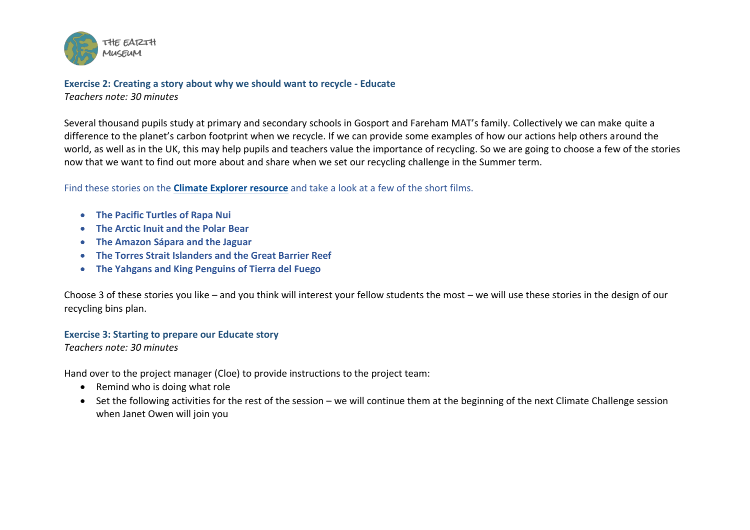

## **Exercise 2: Creating a story about why we should want to recycle - Educate** *Teachers note: 30 minutes*

Several thousand pupils study at primary and secondary schools in Gosport and Fareham MAT's family. Collectively we can make quite a difference to the planet's carbon footprint when we recycle. If we can provide some examples of how our actions help others around the world, as well as in the UK, this may help pupils and teachers value the importance of recycling. So we are going to choose a few of the stories now that we want to find out more about and share when we set our recycling challenge in the Summer term.

Find these stories on the **[Climate Explorer resource](https://the-earth-museum.maps.arcgis.com/apps/webappviewer3d/index.html?id=f8ed1fc5f0c744e391a604154ecc988f)** and take a look at a few of the short films.

- **The Pacific Turtles of Rapa Nui**
- **The Arctic Inuit and the Polar Bear**
- **The Amazon Sápara and the Jaguar**
- **The Torres Strait Islanders and the Great Barrier Reef**
- **The Yahgans and King Penguins of Tierra del Fuego**

Choose 3 of these stories you like – and you think will interest your fellow students the most – we will use these stories in the design of our recycling bins plan.

## **Exercise 3: Starting to prepare our Educate story**

*Teachers note: 30 minutes*

Hand over to the project manager (Cloe) to provide instructions to the project team:

- Remind who is doing what role
- Set the following activities for the rest of the session we will continue them at the beginning of the next Climate Challenge session when Janet Owen will join you